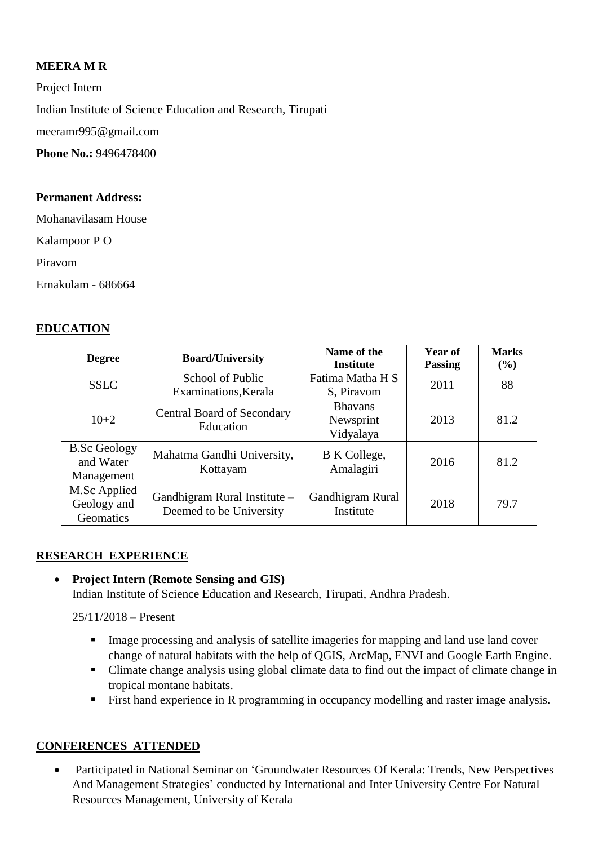## **MEERA M R**

Project Intern Indian Institute of Science Education and Research, Tirupati [meeramr995@gmail.com](mailto:meeramr995@gmail.com) **Phone No.: 9496478400** 

#### **Permanent Address:**

Mohanavilasam House

Kalampoor P O

Piravom

Ernakulam - 686664

### **EDUCATION**

| <b>Degree</b>                                  | <b>Board/University</b>                                 | Name of the<br><b>Institute</b>          | Year of<br><b>Passing</b> | <b>Marks</b><br>(%) |
|------------------------------------------------|---------------------------------------------------------|------------------------------------------|---------------------------|---------------------|
| <b>SSLC</b>                                    | School of Public<br>Examinations, Kerala                | Fatima Matha H S<br>S, Piravom           | 2011                      | 88                  |
| $10+2$                                         | <b>Central Board of Secondary</b><br>Education          | <b>Bhavans</b><br>Newsprint<br>Vidyalaya | 2013                      | 81.2                |
| <b>B.Sc Geology</b><br>and Water<br>Management | Mahatma Gandhi University,<br>Kottayam                  | B K College,<br>Amalagiri                | 2016                      | 81.2                |
| M.Sc Applied<br>Geology and<br>Geomatics       | Gandhigram Rural Institute -<br>Deemed to be University | Gandhigram Rural<br>Institute            | 2018                      | 79.7                |

### **RESEARCH EXPERIENCE**

# **Project Intern (Remote Sensing and GIS)**

Indian Institute of Science Education and Research, Tirupati, Andhra Pradesh.

25/11/2018 – Present

- Image processing and analysis of satellite imageries for mapping and land use land cover change of natural habitats with the help of QGIS, ArcMap, ENVI and Google Earth Engine.
- Climate change analysis using global climate data to find out the impact of climate change in tropical montane habitats.
- First hand experience in R programming in occupancy modelling and raster image analysis.

### **CONFERENCES ATTENDED**

 Participated in National Seminar on 'Groundwater Resources Of Kerala: Trends, New Perspectives And Management Strategies' conducted by International and Inter University Centre For Natural Resources Management, University of Kerala